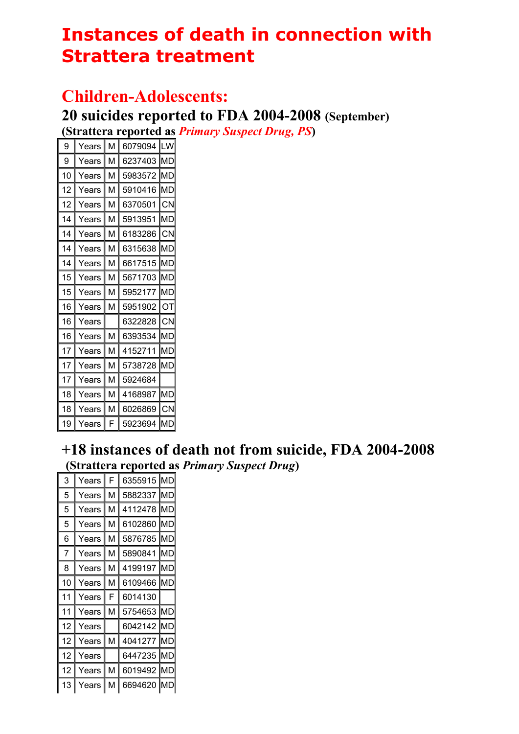# **Instances of death in connection with Strattera treatment**

#### **Children-Adolescents:**

**20 suicides reported to FDA 2004-2008 (September)** 

**(Strattera reported as** *Primary Suspect Drug, PS***)** 

| 9  | Years | M | 6079094 | LW        |
|----|-------|---|---------|-----------|
| 9  | Years | М | 6237403 | MD        |
| 10 | Years | м | 5983572 | ΜГ        |
| 12 | Years | М | 5910416 | MD        |
| 12 | Years | M | 6370501 | <b>CN</b> |
| 14 | Years | М | 5913951 | MD        |
| 14 | Years | М | 6183286 | СN        |
| 14 | Years | М | 6315638 | <b>MC</b> |
| 14 | Years | M | 6617515 | <b>MD</b> |
| 15 | Years | М | 5671703 | МL        |
| 15 | Years | М | 5952177 | ML        |
| 16 | Years | M | 5951902 | ΟT        |
| 16 | Years |   | 6322828 | CN        |
| 16 | Years | М | 6393534 | ML        |
| 17 | Years | м | 4152711 | MI        |
| 17 | Years | м | 5738728 | МI        |
| 17 | Years | М | 5924684 |           |
| 18 | Years | м | 4168987 | MD        |
| 18 | Years | м | 6026869 | CΝ        |
| 19 | Years | F | 5923694 | MI        |

#### **+18 instances of death not from suicide, FDA 2004-2008 (Strattera reported as** *Primary Suspect Drug***)**

| 3  | Years | F | 6355915 | MD  |
|----|-------|---|---------|-----|
| 5  | Years | М | 5882337 | МD  |
| 5  | Years | М | 4112478 | MD  |
| 5  | Years | М | 6102860 | МD  |
| 6  | Years | M | 5876785 | МD  |
| 7  | Years | M | 5890841 | МC  |
| 8  | Years | М | 4199197 | МC  |
| 10 | Years | М | 6109466 | МC  |
| 11 | Years | F | 6014130 |     |
| 11 | Years | М | 5754653 | MD  |
| 12 | Years |   | 6042142 | IMD |
| 12 | Years | М | 4041277 | MD  |
| 12 | Years |   | 6447235 | MС  |
| 12 | Years | М | 6019492 | MD  |
| 13 | Years |   | 6694620 |     |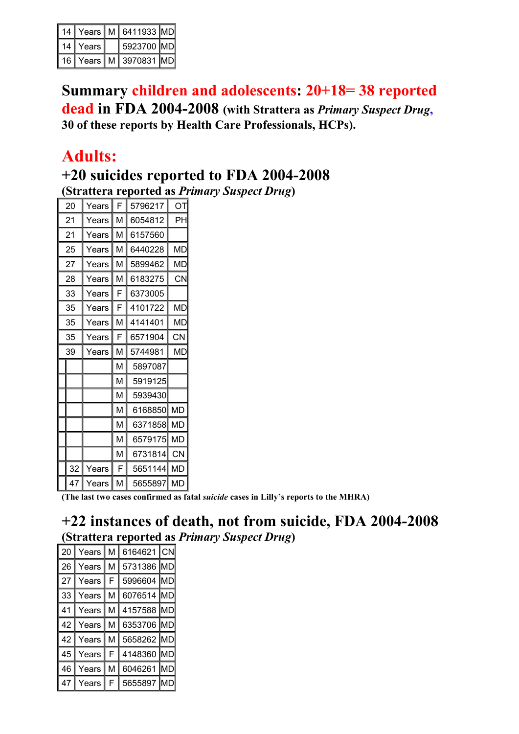| 14 |           | Years   M   6411933 MD |  |
|----|-----------|------------------------|--|
| 14 | Years I   | 5923700 MD             |  |
| 16 | Years I M | 3970831 MD             |  |

**Summary children and adolescents: 20+18= 38 reported dead in FDA 2004-2008 (with Strattera as** *Primary Suspect Drug***, 30 of these reports by Health Care Professionals, HCPs).** 

### **Adults:**

# **+20 suicides reported to FDA 2004-2008**

**(Strattera reported as** *Primary Suspect Drug***)** 

| 20 | Years | F | 5796217 | ΟT        |
|----|-------|---|---------|-----------|
| 21 | Years | М | 6054812 | PН        |
| 21 | Years | M | 6157560 |           |
| 25 | Years | M | 6440228 | МC        |
| 27 | Years | M | 5899462 | МC        |
| 28 | Years | M | 6183275 | CN        |
| 33 | Years | F | 6373005 |           |
| 35 | Years | F | 4101722 | МC        |
| 35 | Years | М | 4141401 | МE        |
| 35 | Years | F | 6571904 | CN        |
| 39 | Years | М | 5744981 | МE        |
|    |       | М | 5897087 |           |
|    |       | M | 5919125 |           |
|    |       | M | 5939430 |           |
|    |       | M | 6168850 | <b>MD</b> |
|    |       | М | 6371858 | MD        |
|    |       | М | 6579175 | MD        |
|    |       | M | 6731814 | CN        |
| 32 | Years | F | 5651144 | <b>MD</b> |
| 47 | Years | М | 5655897 | MD        |

**(The last two cases confirmed as fatal** *suicide* **cases in Lilly's reports to the MHRA)** 

#### **+22 instances of death, not from suicide, FDA 2004-2008 (Strattera reported as** *Primary Suspect Drug***)**

| 20 | Years | м | 6164621 | CN  |
|----|-------|---|---------|-----|
| 26 | Years | м | 5731386 |     |
| 27 | Years | F | 5996604 | MD  |
| 33 | Years | М | 6076514 |     |
| 41 | Years | М | 4157588 | IMD |
|    |       |   |         |     |
| 42 | Years | М | 6353706 | IMD |
| 42 | Years | М | 5658262 | IMD |
| 45 | Years | F | 4148360 |     |
| 46 | Years | М | 6046261 |     |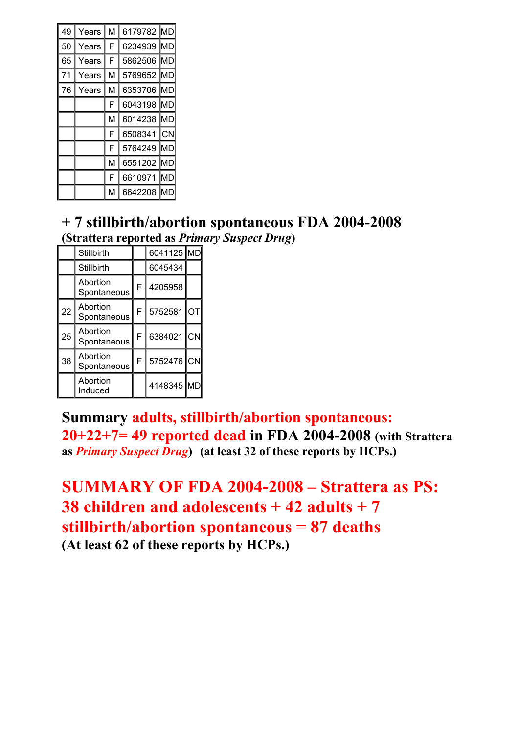| 49 | Years | M | 6179782 MD |           |
|----|-------|---|------------|-----------|
| 50 | Years | F | 6234939    | <b>MD</b> |
| 65 | Years | F | 5862506    | MD        |
| 71 | Years | M | 5769652    | <b>MD</b> |
| 76 | Years | M | 6353706    | <b>MD</b> |
|    |       | F | 6043198    | <b>MD</b> |
|    |       | M | 6014238    | MD        |
|    |       | F | 6508341    | CΝ        |
|    |       | F | 5764249    | MD        |
|    |       | M | 6551202    | MD        |
|    |       | F | 6610971    | <b>MD</b> |
|    |       | M | 6642208    |           |

# **+ 7 stillbirth/abortion spontaneous FDA 2004-2008**

**(Strattera reported as** *Primary Suspect Drug***)** 

|    | Stillbirth              |   | 6041125 MD |    |
|----|-------------------------|---|------------|----|
|    | <b>Stillbirth</b>       |   | 6045434    |    |
|    | Abortion<br>Spontaneous | F | 4205958    |    |
| 22 | Abortion<br>Spontaneous | F | 5752581    | ΟT |
| 25 | Abortion<br>Spontaneous | F | 6384021    | CN |
| 38 | Abortion<br>Spontaneous | F | 5752476 CN |    |
|    | Abortion<br>Induced     |   | 4148345 MD |    |

**Summary adults, stillbirth/abortion spontaneous: 20+22+7= 49 reported dead in FDA 2004-2008 (with Strattera as** *Primary Suspect Drug***) (at least 32 of these reports by HCPs.)** 

```
SUMMARY OF FDA 2004-2008 – Strattera as PS: 
38 children and adolescents + 42 adults + 7 
stillbirth/abortion spontaneous = 87 deaths 
(At least 62 of these reports by HCPs.)
```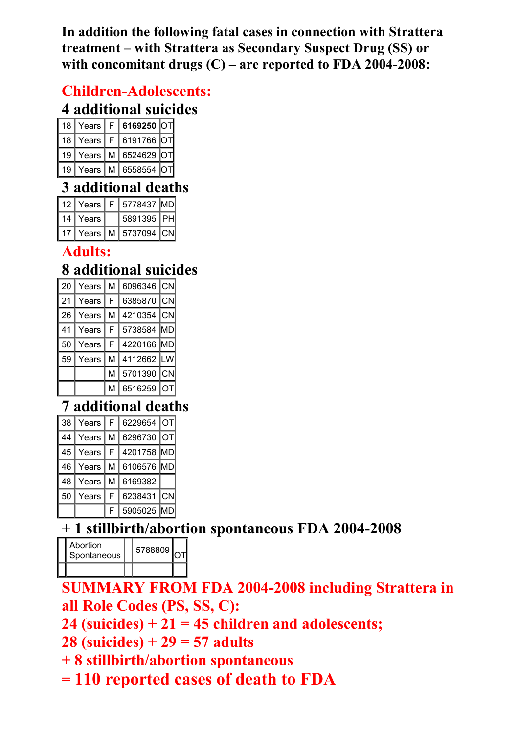**In addition the following fatal cases in connection with Strattera treatment – with Strattera as Secondary Suspect Drug (SS) or with concomitant drugs (C) – are reported to FDA 2004-2008:** 

#### **Children-Adolescents:**

#### **4 additional suicides**

| 18 I | Years          | F | 6169250 OT |  |
|------|----------------|---|------------|--|
|      | 18   Years     | F | 6191766 OT |  |
|      | 19   Years   M |   | 6524629 OT |  |
| 19   | Years   M      |   | 6558554 OT |  |

#### **3 additional deaths**

| 12 I | Years     | 5778437 MD |  |
|------|-----------|------------|--|
| 14   | Years     | 5891395 PH |  |
|      | Years I M | 5737094 CN |  |

#### **Adults:**

## **8 additional suicides**

| 20 | Years | м | 6096346 CN |     |
|----|-------|---|------------|-----|
| 21 | Years | F | 6385870    | CN  |
| 26 | Years | М | 4210354    | CN  |
| 41 | Years | F | 5738584    | IMD |
| 50 | Years | F | 4220166 MD |     |
| 59 | Years | М | 4112662    | LW  |
|    |       | М | 5701390    | CN  |
|    |       | M | 6516259    |     |

## **7 additional deaths**

| 38 | Years |   | 6229654    | ΟT |
|----|-------|---|------------|----|
| 44 | Years | м | 6296730    |    |
| 45 | Years | F | 4201758 MD |    |
| 46 | Years | М | 6106576 MD |    |
| 48 | Years | М | 6169382    |    |
| 50 | Years | F | 6238431    | CΝ |
|    |       |   | 5905025    |    |

### **+ 1 stillbirth/abortion spontaneous FDA 2004-2008**

| Abortion<br>Spontaneous | 5788809 |  |
|-------------------------|---------|--|
|                         |         |  |

**SUMMARY FROM FDA 2004-2008 including Strattera in all Role Codes (PS, SS, C):** 

**24 (suicides) + 21 = 45 children and adolescents;** 

**28 (suicides) + 29 = 57 adults** 

**+ 8 stillbirth/abortion spontaneous** 

**= 110 reported cases of death to FDA**